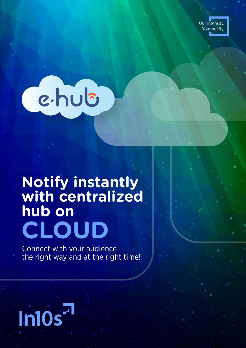



# **at the right vicinous South September 18 and 20 and 20 and 20 and 20 and 20 and 20 and 20 and 20 and 20 and 20 and 20 and 20 and 20 and 20 and 20 and 20 and 20 and 20 and 20 and 20 and 20 and 20 and 20 and 20 and 20 and 2 with centralized hub on CLOUD**

Connect with your audience the right way and at the right time!

## **In10s**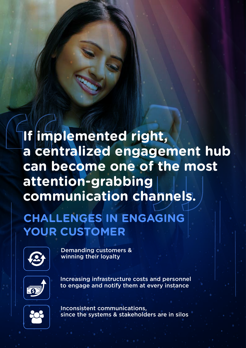## Trimpleme f the mos<br>
<br>
annels.<br>
AGING<br>
AGING<br>
and personnel **If implemented right, a centralized engagement hub can become one of the most attention-grabbing communication channels.**

### **CHALLENGES IN ENGAGING YOUR CUSTOMER**



Demanding customers & winning their loyalty



Increasing infrastructure costs and personnel to engage and notify them at every instance



Inconsistent communications, since the systems & stakeholders are in silos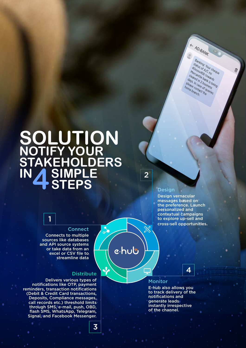AD-BANK Banking: Your cheque<br>Status of ACUr cheque<br>Prontils 6 town Banking: Your ch<br>status of A/C nch<br>40xxxx456/C no<br>Preantile tows status of Juri Check<br>ADXXXX456 to the<br>Mercantile batwards<br>leared tile bank ards<br>Vs. In In 2 h. Is h. 10xxxs of 1/Ur cheque<br>Mercantile bowards<br>Cleared in 2 bank is to<br>also the bank is being<br>also the contage of gues Mercykkas C.C.no."<br>Cleared in 2 bunk is be<br>day s. In C. b. b. In Linux<br>Me Se Contact C. Uness<br>Me brontact C. Queri Clearentile browards<br>days In Case Of Inesser<br>please In Case Of Iness<br>please Conse Of Iness<br>ome braniact futueries days, ed in 2 bank<br>please choise of quality<br>home brander of quality<br>home branch, home branch.

## **SOLUTION NOTIFY YOUR STAKEHOLDERS**  IN 4 SIMPLE

2

#### Design

Design vernacular messages based on the preference. Launch personalized and contextual campaigns to explore up-sell and cross-sell opportunities.

#### **Connect**

Connects to multiple sources like databases and API source systems or take data from an excel or CSV file to streamline data

1

#### **Distribute**

 $\alpha$ 

 $\vec{v}$ 

e.hub

3

Delivers various types of notifications like OTP, payment reminders, transaction notifications (Debit & Credit Card transactions, Deposits, Compliance messages, call records etc.) threshold limits through SMS, e-mail, push, OBD, flash SMS, WhatsApp, Telegram, Signal, and Facebook Messenger.

4

#### Monitor

E-hub also allows you to track delivery of the notifications and generate leads instantly irrespective of the channel.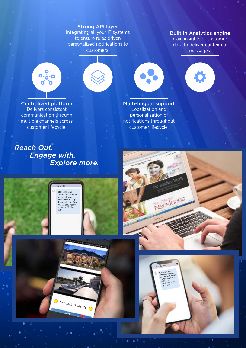Strong API layer Integrating all your IT systems to ensure rules driven personalized notifications to customers.

Built in Analytics engine Gain insights of customer data to deliver contextual messages.





Centralized platform Delivers consistent communication through multiple channels across customer lifecycle.

Multi-lingual support Localization and personalization of notifications throughout customer lifecycle.



*Reach Out. Engage with. Explore more.*